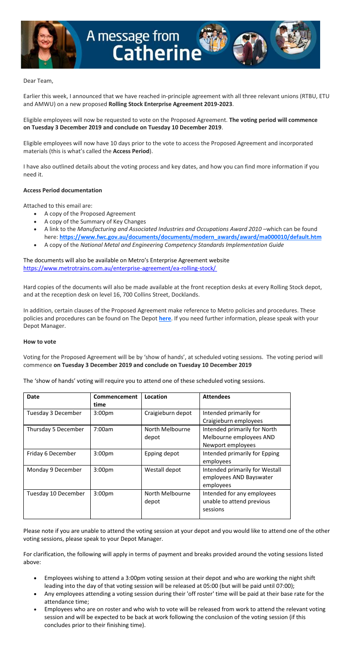

## Dear Team,

Earlier this week, I announced that we have reached in-principle agreement with all three relevant unions (RTBU, ETU and AMWU) on a new proposed **Rolling Stock Enterprise Agreement 2019-2023**.

Eligible employees will now be requested to vote on the Proposed Agreement. **The voting period will commence on Tuesday 3 December 2019 and conclude on Tuesday 10 December 2019**.

Eligible employees will now have 10 days prior to the vote to access the Proposed Agreement and incorporated materials (this is what's called the **Access Period**).

I have also outlined details about the voting process and key dates, and how you can find more information if you need it.

## **Access Period documentation**

Attached to this email are:

- A copy of the Proposed Agreement
- A copy of the Summary of Key Changes
- A link to the *Manufacturing and Associated Industries and Occupations Award 2010* –which can be found here: **[https://www.fwc.gov.au/documents/documents/modern\\_awards/award/ma000010/default.htm](https://www.fwc.gov.au/documents/documents/modern_awards/award/ma000010/default.htm)**
- A copy of the *National Metal and Engineering Competency Standards Implementation Guide*

The documents will also be available on Metro's Enterprise Agreement website <https://www.metrotrains.com.au/enterprise-agreement/ea-rolling-stock/>

Hard copies of the documents will also be made available at the front reception desks at every Rolling Stock depot, and at the reception desk on level 16, 700 Collins Street, Docklands.

In addition, certain clauses of the Proposed Agreement make reference to Metro policies and procedures. These policies and procedures can be found on The Depot **[here](http://oldintranet.metrotrains.com.au/Policies/HR/Forms/AllItems.aspx)**. If you need further information, please speak with your Depot Manager.

## **How to vote**

Voting for the Proposed Agreement will be by 'show of hands', at scheduled voting sessions. The voting period will commence **on Tuesday 3 December 2019 and conclude on Tuesday 10 December 2019**

The 'show of hands' voting will require you to attend one of these scheduled voting sessions.

| <b>Date</b>         | Commencement<br>time | Location                 | <b>Attendees</b>                                                             |
|---------------------|----------------------|--------------------------|------------------------------------------------------------------------------|
| Tuesday 3 December  | 3:00 <sub>pm</sub>   | Craigieburn depot        | Intended primarily for<br>Craigieburn employees                              |
| Thursday 5 December | 7:00am               | North Melbourne<br>depot | Intended primarily for North<br>Melbourne employees AND<br>Newport employees |
| Friday 6 December   | 3:00 <sub>pm</sub>   | Epping depot             | Intended primarily for Epping<br>employees                                   |
| Monday 9 December   | 3:00 <sub>pm</sub>   | Westall depot            | Intended primarily for Westall<br>employees AND Bayswater<br>employees       |
| Tuesday 10 December | 3:00 <sub>pm</sub>   | North Melbourne<br>depot | Intended for any employees<br>unable to attend previous<br>sessions          |

Please note if you are unable to attend the voting session at your depot and you would like to attend one of the other voting sessions, please speak to your Depot Manager.

For clarification, the following will apply in terms of payment and breaks provided around the voting sessions listed above:

- Employees wishing to attend a 3:00pm voting session at their depot and who are working the night shift leading into the day of that voting session will be released at 05:00 (but will be paid until 07:00);
- Any employees attending a voting session during their 'off roster' time will be paid at their base rate for the attendance time;
- Employees who are on roster and who wish to vote will be released from work to attend the relevant voting session and will be expected to be back at work following the conclusion of the voting session (if this concludes prior to their finishing time).